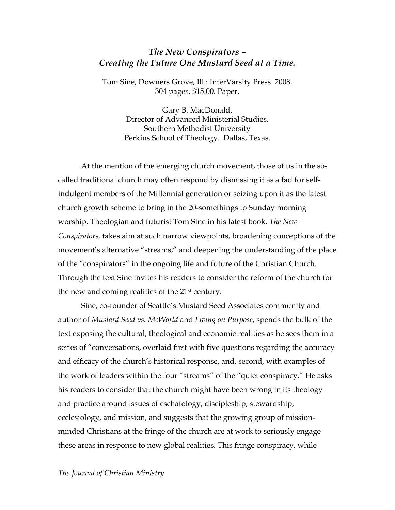## *The New Conspirators – Creating the Future One Mustard Seed at a Time.*

Tom Sine, Downers Grove, Ill.: InterVarsity Press. 2008. 304 pages. \$15.00. Paper.

> Gary B. MacDonald. Director of Advanced Ministerial Studies. Southern Methodist University Perkins School of Theology. Dallas, Texas.

At the mention of the emerging church movement, those of us in the socalled traditional church may often respond by dismissing it as a fad for selfindulgent members of the Millennial generation or seizing upon it as the latest church growth scheme to bring in the 20-somethings to Sunday morning worship. Theologian and futurist Tom Sine in his latest book, *The New Conspirators,* takes aim at such narrow viewpoints, broadening conceptions of the movement's alternative "streams," and deepening the understanding of the place of the "conspirators" in the ongoing life and future of the Christian Church. Through the text Sine invites his readers to consider the reform of the church for the new and coming realities of the 21st century.

Sine, co-founder of Seattle's Mustard Seed Associates community and author of *Mustard Seed vs. McWorld* and *Living on Purpose*, spends the bulk of the text exposing the cultural, theological and economic realities as he sees them in a series of "conversations, overlaid first with five questions regarding the accuracy and efficacy of the church's historical response, and, second, with examples of the work of leaders within the four "streams" of the "quiet conspiracy." He asks his readers to consider that the church might have been wrong in its theology and practice around issues of eschatology, discipleship, stewardship, ecclesiology, and mission, and suggests that the growing group of missionminded Christians at the fringe of the church are at work to seriously engage these areas in response to new global realities. This fringe conspiracy, while

## *The Journal of Christian Ministry*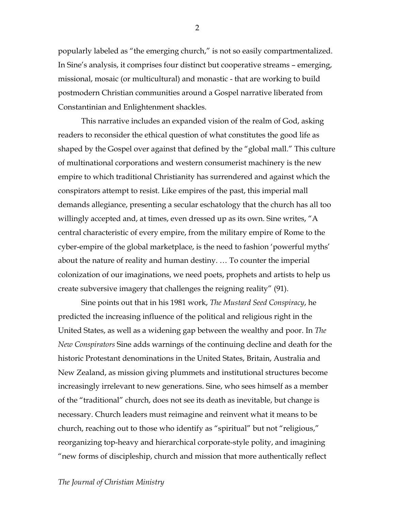popularly labeled as "the emerging church," is not so easily compartmentalized. In Sine's analysis, it comprises four distinct but cooperative streams – emerging, missional, mosaic (or multicultural) and monastic - that are working to build postmodern Christian communities around a Gospel narrative liberated from Constantinian and Enlightenment shackles.

This narrative includes an expanded vision of the realm of God, asking readers to reconsider the ethical question of what constitutes the good life as shaped by the Gospel over against that defined by the "global mall." This culture of multinational corporations and western consumerist machinery is the new empire to which traditional Christianity has surrendered and against which the conspirators attempt to resist. Like empires of the past, this imperial mall demands allegiance, presenting a secular eschatology that the church has all too willingly accepted and, at times, even dressed up as its own. Sine writes, "A central characteristic of every empire, from the military empire of Rome to the cyber-empire of the global marketplace, is the need to fashion 'powerful myths' about the nature of reality and human destiny. … To counter the imperial colonization of our imaginations, we need poets, prophets and artists to help us create subversive imagery that challenges the reigning reality" (91).

Sine points out that in his 1981 work, *The Mustard Seed Conspiracy*, he predicted the increasing influence of the political and religious right in the United States, as well as a widening gap between the wealthy and poor. In *The New Conspirators* Sine adds warnings of the continuing decline and death for the historic Protestant denominations in the United States, Britain, Australia and New Zealand, as mission giving plummets and institutional structures become increasingly irrelevant to new generations. Sine, who sees himself as a member of the "traditional" church, does not see its death as inevitable, but change is necessary. Church leaders must reimagine and reinvent what it means to be church, reaching out to those who identify as "spiritual" but not "religious," reorganizing top-heavy and hierarchical corporate-style polity, and imagining "new forms of discipleship, church and mission that more authentically reflect

2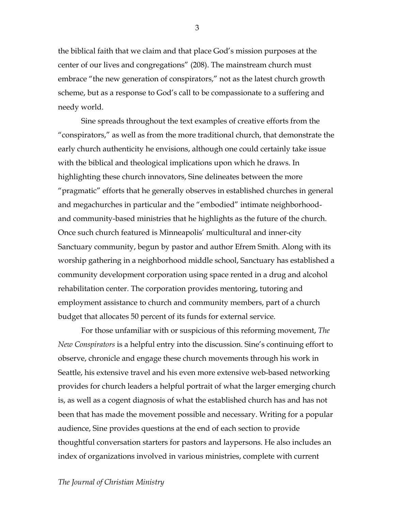the biblical faith that we claim and that place God's mission purposes at the center of our lives and congregations" (208). The mainstream church must embrace "the new generation of conspirators," not as the latest church growth scheme, but as a response to God's call to be compassionate to a suffering and needy world.

Sine spreads throughout the text examples of creative efforts from the "conspirators," as well as from the more traditional church, that demonstrate the early church authenticity he envisions, although one could certainly take issue with the biblical and theological implications upon which he draws. In highlighting these church innovators, Sine delineates between the more "pragmatic" efforts that he generally observes in established churches in general and megachurches in particular and the "embodied" intimate neighborhoodand community-based ministries that he highlights as the future of the church. Once such church featured is Minneapolis' multicultural and inner-city Sanctuary community, begun by pastor and author Efrem Smith. Along with its worship gathering in a neighborhood middle school, Sanctuary has established a community development corporation using space rented in a drug and alcohol rehabilitation center. The corporation provides mentoring, tutoring and employment assistance to church and community members, part of a church budget that allocates 50 percent of its funds for external service.

For those unfamiliar with or suspicious of this reforming movement, *The New Conspirators* is a helpful entry into the discussion. Sine's continuing effort to observe, chronicle and engage these church movements through his work in Seattle, his extensive travel and his even more extensive web-based networking provides for church leaders a helpful portrait of what the larger emerging church is, as well as a cogent diagnosis of what the established church has and has not been that has made the movement possible and necessary. Writing for a popular audience, Sine provides questions at the end of each section to provide thoughtful conversation starters for pastors and laypersons. He also includes an index of organizations involved in various ministries, complete with current

3

## *The Journal of Christian Ministry*